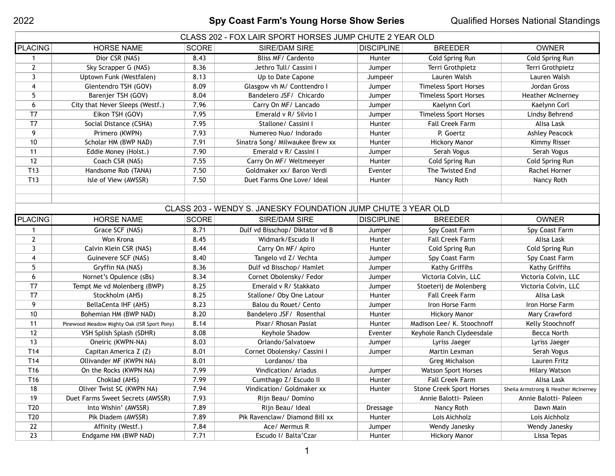## 2022 **Spy Coast Farm's Young Horse Show Series** Qualified Horses National Standings

| CLASS 202 - FOX LAIR SPORT HORSES JUMP CHUTE 2 YEAR OLD |                                 |              |                                 |                   |                              |                          |  |
|---------------------------------------------------------|---------------------------------|--------------|---------------------------------|-------------------|------------------------------|--------------------------|--|
| <b>PLACING</b>                                          | <b>HORSE NAME</b>               | <b>SCORE</b> | SIRE/DAM SIRE                   | <b>DISCIPLINE</b> | <b>BREEDER</b>               | <b>OWNER</b>             |  |
|                                                         | Dior CSR (NAS)                  | 8.43         | Bliss MF/ Cardento              | Hunter            | Cold Spring Run              | Cold Spring Run          |  |
|                                                         | Sky Scrapper G (NAS)            | 8.36         | Jethro Tull/ Cassini I          | Jumper            | Terri Grothpietz             | Terri Grothpietz         |  |
|                                                         | Uptown Funk (Westfalen)         | 8.13         | Up to Date Capone               | Jumpeer           | Lauren Walsh                 | Lauren Walsh             |  |
| 4                                                       | Glentendro TSH (GOV)            | 8.09         | Glasgow vh M/ Conttendro I      | Jumper            | <b>Timeless Sport Horses</b> | Jordan Gross             |  |
|                                                         | Barenjer TSH (GOV)              | 8.04         | Bandelero JSF/ Chicardo         | Jumper            | <b>Timeless Sport Horses</b> | <b>Heather McInerney</b> |  |
| 6                                                       | City that Never Sleeps (Westf.) | 7.96         | Carry On MF/ Lancado            | Jumper            | Kaelynn Corl                 | Kaelynn Corl             |  |
| T7                                                      | Eikon TSH (GOV)                 | 7.95         | Emerald v R/ Silvio I           | Jumper            | <b>Timeless Sport Horses</b> | Lindsy Behrend           |  |
| T7                                                      | Social Distance (CSHA)          | 7.95         | Stallone/ Cassini I             | Hunter            | <b>Fall Creek Farm</b>       | Alisa Lask               |  |
| 9.                                                      | Primero (KWPN)                  | 7.93         | Numereo Nuo/Indorado            | Hunter            | P. Goertz                    | Ashley Peacock           |  |
| 10                                                      | Scholar HM (BWP NAD)            | 7.91         | Sinatra Song/ Milwaukee Brew xx | Hunter            | <b>Hickory Manor</b>         | Kimmy Risser             |  |

11 Eddie Money (Holst.) 7.90 | Emerald v R/ Cassini | Jumper | Serah Vogus | Serah Vogus Serah Vogus 12 Coach CSR (NAS) 7.55 Carry On MF/ Weltmeeyer Hunter Cold Spring Run Cold Spring Run Cold Spring Run T13 Handsome Rob (TANA) 7.50 Goldmaker xx/ Baron Verdi Eventer The Twisted End Rachel Horner T13 Isle of View (AWSSR) 7.50 Duet Farms One Love/ Ideal | Hunter | Nancy Roth | Nancy Roth Nancy Roth

| CLASS 203 - WENDY S. JANESKY FOUNDATION JUMP CHUTE 3 YEAR OLD |                                             |              |                                 |                   |                                 |                                      |  |
|---------------------------------------------------------------|---------------------------------------------|--------------|---------------------------------|-------------------|---------------------------------|--------------------------------------|--|
| <b>PLACING</b>                                                | <b>HORSE NAME</b>                           | <b>SCORE</b> | SIRE/DAM SIRE                   | <b>DISCIPLINE</b> | <b>BREEDER</b>                  | <b>OWNER</b>                         |  |
|                                                               | Grace SCF (NAS)                             | 8.71         | Dulf vd Bisschop/ Diktator vd B | Jumper            | Spy Coast Farm                  | Spy Coast Farm                       |  |
| $\mathbf{2}$                                                  | Won Krona                                   | 8.45         | Widmark/Escudo II               | Hunter            | <b>Fall Creek Farm</b>          | Alisa Lask                           |  |
| 3                                                             | Calvin Klein CSR (NAS)                      | 8.44         | Carry On MF/ Apiro              | Hunter            | Cold Spring Run                 | Cold Spring Run                      |  |
| 4                                                             | Guinevere SCF (NAS)                         | 8.40         | Tangelo vd Z/ Vechta            | Jumper            | Spy Coast Farm                  | Spy Coast Farm                       |  |
| 5                                                             | Gryffin NA (NAS)                            | 8.36         | Dulf vd Bisschop/ Hamlet        | Jumper            | Kathy Griffihs                  | Kathy Griffihs                       |  |
| 6                                                             | Nornet's Opulence (sBs)                     | 8.34         | Cornet Obolensky/ Fedor         | Jumper            | Victoria Colvin, LLC            | Victoria Colvin, LLC                 |  |
| T7                                                            | Tempt Me vd Molenberg (BWP)                 | 8.25         | Emerald v R/ Stakkato           | Jumper            | Stoeterij de Molenberg          | Victoria Colvin, LLC                 |  |
| T <sub>7</sub>                                                | Stockholm (AHS)                             | 8.25         | Stallone/ Oby One Latour        | Hunter            | <b>Fall Creek Farm</b>          | Alisa Lask                           |  |
| 9                                                             | BellaCenta IHF (AHS)                        | 8.23         | Balou du Rouet/ Cento           | Jumper            | Iron Horse Farm                 | Iron Horse Farm                      |  |
| 10                                                            | Bohemian HM (BWP NAD)                       | 8.20         | Bandelero JSF/ Rosenthal        | Hunter            | <b>Hickory Manor</b>            | Mary Crawford                        |  |
| 11                                                            | Pinewood Meadow Mighty Oak (ISR Sport Pony) | 8.14         | Pixar/ Rhosan Pasiat            | Hunter            | Madison Lee/ K. Stoochnoff      | Kelly Stoochnoff                     |  |
| 12                                                            | VSH Splish Splash (SDHR)                    | 8.08         | Keyhole Shadow                  | Eventer           | Keyhole Ranch Clydeesdale       | <b>Becca North</b>                   |  |
| 13                                                            | Oneiric (KWPN-NA)                           | 8.03         | Orlando/Salvatoew               | Jumper            | Lyriss Jaeger                   | Lyriss Jaeger                        |  |
| T <sub>14</sub>                                               | Capitan America Z (Z)                       | 8.01         | Cornet Obolensky/ Cassini I     | Jumper            | Martin Lexman                   | Serah Vogus                          |  |
| T <sub>14</sub>                                               | Ollivander MF (KWPN NA)                     | 8.01         | Lordanos/ tba                   |                   | Greg Michalson                  | Lauren Fritz                         |  |
| T <sub>16</sub>                                               | On the Rocks (KWPN NA)                      | 7.99         | Vindication/ Ariadus            | Jumper            | <b>Watson Sport Horses</b>      | <b>Hilary Watson</b>                 |  |
| T <sub>16</sub>                                               | Choklad (AHS)                               | 7.99         | Cumthago Z/ Escudo II           | Hunter            | <b>Fall Creek Farm</b>          | Alisa Lask                           |  |
| 18                                                            | Oliver Twist SC (KWPN NA)                   | 7.94         | Vindication/ Goldmaker xx       | <b>Hunter</b>     | <b>Stone Creek Sport Horses</b> | Sheila Armstrong & Heather McInerney |  |
| 19                                                            | Duet Farms Sweet Secrets (AWSSR)            | 7.93         | Rijn Beau/ Domino               |                   | Annie Balotti- Paleen           | Annie Balotti- Paleen                |  |
| T <sub>20</sub>                                               | Into Wishin' (AWSSR)                        | 7.89         | Rijn Beau/ Ideal                | <b>Dressage</b>   | Nancy Roth                      | Dawn Main                            |  |
| T <sub>20</sub>                                               | Pik Diadem (AWSSR)                          | 7.89         | Pik Ravenclaw/ Diamond Bill xx  | Hunter            | Lois Aichholz                   | Lois Aichholz                        |  |
| 22                                                            | Affinity (Westf.)                           | 7.84         | Ace/ Mermus R                   | Jumper            | Wendy Janesky                   | Wendy Janesky                        |  |
| 23                                                            | Endgame HM (BWP NAD)                        | 7.71         | Escudo I/ Balta'Czar            | Hunter            | <b>Hickory Manor</b>            | Lissa Tepas                          |  |